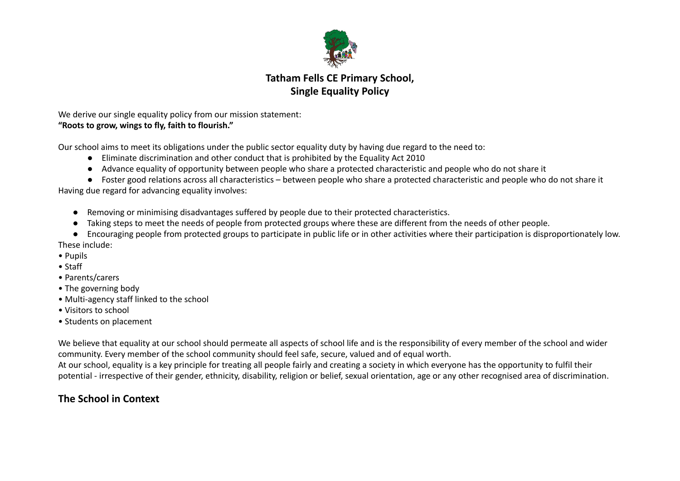

# **Tatham Fells CE Primary School, Single Equality Policy**

We derive our single equality policy from our mission statement: **"Roots to grow, wings to fly, faith to flourish."**

Our school aims to meet its obligations under the public sector equality duty by having due regard to the need to:

- Eliminate discrimination and other conduct that is prohibited by the Equality Act 2010
- Advance equality of opportunity between people who share a protected characteristic and people who do not share it

● Foster good relations across all characteristics – between people who share a protected characteristic and people who do not share it Having due regard for advancing equality involves:

- Removing or minimising disadvantages suffered by people due to their protected characteristics.
- Taking steps to meet the needs of people from protected groups where these are different from the needs of other people.
- Encouraging people from protected groups to participate in public life or in other activities where their participation is disproportionately low. These include:
- Pupils
- Staff
- Parents/carers
- The governing body
- Multi-agency staff linked to the school
- Visitors to school
- Students on placement

We believe that equality at our school should permeate all aspects of school life and is the responsibility of every member of the school and wider community. Every member of the school community should feel safe, secure, valued and of equal worth.

At our school, equality is a key principle for treating all people fairly and creating a society in which everyone has the opportunity to fulfil their potential - irrespective of their gender, ethnicity, disability, religion or belief, sexual orientation, age or any other recognised area of discrimination.

# **The School in Context**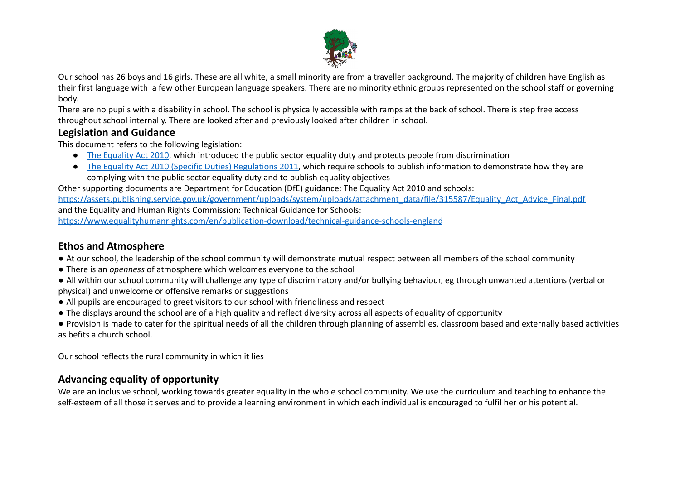

Our school has 26 boys and 16 girls. These are all white, a small minority are from a traveller background. The majority of children have English as their first language with a few other European language speakers. There are no minority ethnic groups represented on the school staff or governing body.

There are no pupils with a disability in school. The school is physically accessible with ramps at the back of school. There is step free access throughout school internally. There are looked after and previously looked after children in school.

### **Legislation and Guidance**

This document refers to the following legislation:

- The [Equality](http://www.legislation.gov.uk/ukpga/2010/15/contents) Act 2010, which introduced the public sector equality duty and protects people from discrimination
- The Equality Act 2010 (Specific Duties) [Regulations](http://www.legislation.gov.uk/uksi/2011/2260/contents/made) 2011, which require schools to publish information to demonstrate how they are complying with the public sector equality duty and to publish equality objectives

Other supporting documents are Department for Education (DfE) guidance: The Equality Act 2010 and schools: [https://assets.publishing.service.gov.uk/government/uploads/system/uploads/attachment\\_data/file/315587/Equality\\_Act\\_Advice\\_Final.pdf](https://assets.publishing.service.gov.uk/government/uploads/system/uploads/attachment_data/file/315587/Equality_Act_Advice_Final.pdf)

and the Equality and Human Rights Commission: Technical Guidance for Schools:

<https://www.equalityhumanrights.com/en/publication-download/technical-guidance-schools-england>

# **Ethos and Atmosphere**

- At our school, the leadership of the school community will demonstrate mutual respect between all members of the school community
- There is an *openness* of atmosphere which welcomes everyone to the school
- All within our school community will challenge any type of discriminatory and/or bullying behaviour, eg through unwanted attentions (verbal or physical) and unwelcome or offensive remarks or suggestions
- All pupils are encouraged to greet visitors to our school with friendliness and respect
- The displays around the school are of a high quality and reflect diversity across all aspects of equality of opportunity

● Provision is made to cater for the spiritual needs of all the children through planning of assemblies, classroom based and externally based activities as befits a church school.

Our school reflects the rural community in which it lies

# **Advancing equality of opportunity**

We are an inclusive school, working towards greater equality in the whole school community. We use the curriculum and teaching to enhance the self-esteem of all those it serves and to provide a learning environment in which each individual is encouraged to fulfil her or his potential.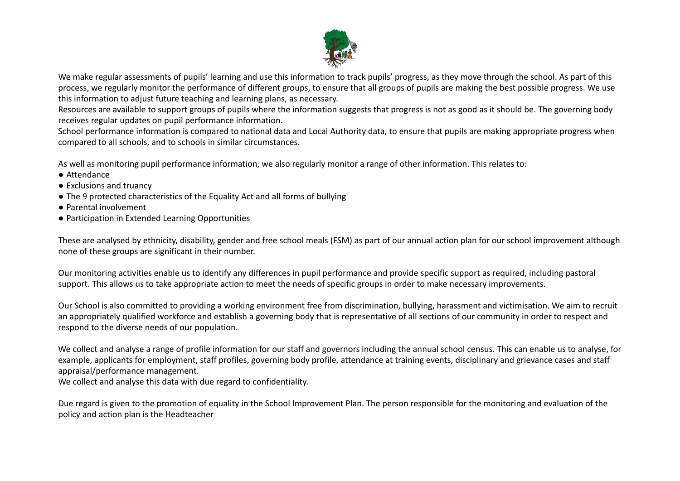

We make regular assessments of pupils' learning and use this information to track pupils' progress, as they move through the school. As part of this process, we regularly monitor the performance of different groups, to ensure that all groups of pupils are making the best possible progress. We use this information to adjust future teaching and learning plans, as necessary.

Resources are available to support groups of pupils where the information suggests that progress is not as good as it should be. The governing body receives regular updates on pupil performance information.

School performance information is compared to national data and Local Authority data, to ensure that pupils are making appropriate progress when compared to all schools, and to schools in similar circumstances.

As well as monitoring pupil performance information, we also regularly monitor a range of other information. This relates to:

- Attendance
- Exclusions and truancy
- The 9 protected characteristics of the Equality Act and all forms of bullying
- Parental involvement
- Participation in Extended Learning Opportunities

These are analysed by ethnicity, disability, gender and free school meals (FSM) as part of our annual action plan for our school improvement although none of these groups are significant in their number.

Our monitoring activities enable us to identify any differences in pupil performance and provide specific support as required, including pastoral support. This allows us to take appropriate action to meet the needs of specific groups in order to make necessary improvements.

Our School is also committed to providing a working environment free from discrimination, bullying, harassment and victimisation. We aim to recruit an appropriately qualified workforce and establish a governing body that is representative of all sections of our community in order to respect and respond to the diverse needs of our population.

We collect and analyse a range of profile information for our staff and governors including the annual school census. This can enable us to analyse, for example, applicants for employment, staff profiles, governing body profile, attendance at training events, disciplinary and grievance cases and staff appraisal/performance management.

We collect and analyse this data with due regard to confidentiality*.*

Due regard is given to the promotion of equality in the School Improvement Plan. The person responsible for the monitoring and evaluation of the policy and action plan is the Headteacher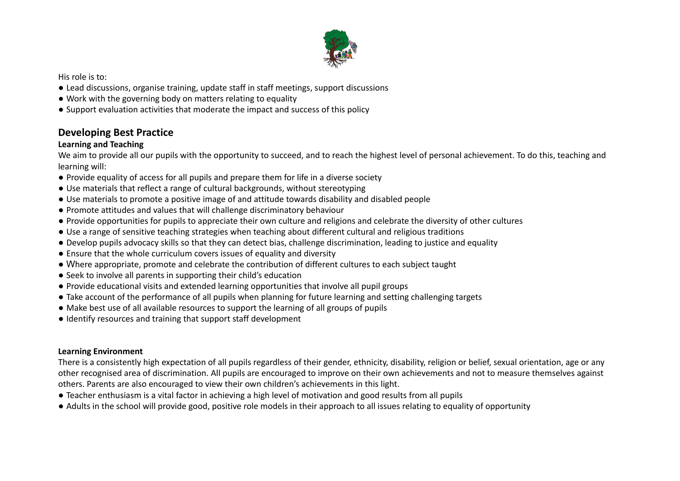

His role is to:

- Lead discussions, organise training, update staff in staff meetings, support discussions
- Work with the governing body on matters relating to equality
- Support evaluation activities that moderate the impact and success of this policy

# **Developing Best Practice**

### **Learning and Teaching**

We aim to provide all our pupils with the opportunity to succeed, and to reach the highest level of personal achievement. To do this, teaching and learning will:

- Provide equality of access for all pupils and prepare them for life in a diverse society
- Use materials that reflect a range of cultural backgrounds, without stereotyping
- Use materials to promote a positive image of and attitude towards disability and disabled people
- Promote attitudes and values that will challenge discriminatory behaviour
- Provide opportunities for pupils to appreciate their own culture and religions and celebrate the diversity of other cultures
- Use a range of sensitive teaching strategies when teaching about different cultural and religious traditions
- Develop pupils advocacy skills so that they can detect bias, challenge discrimination, leading to justice and equality
- Ensure that the whole curriculum covers issues of equality and diversity
- Where appropriate, promote and celebrate the contribution of different cultures to each subject taught
- Seek to involve all parents in supporting their child's education
- Provide educational visits and extended learning opportunities that involve all pupil groups
- Take account of the performance of all pupils when planning for future learning and setting challenging targets
- Make best use of all available resources to support the learning of all groups of pupils
- Identify resources and training that support staff development

### **Learning Environment**

There is a consistently high expectation of all pupils regardless of their gender, ethnicity, disability, religion or belief, sexual orientation, age or any other recognised area of discrimination. All pupils are encouraged to improve on their own achievements and not to measure themselves against others. Parents are also encouraged to view their own children's achievements in this light.

- Teacher enthusiasm is a vital factor in achieving a high level of motivation and good results from all pupils
- Adults in the school will provide good, positive role models in their approach to all issues relating to equality of opportunity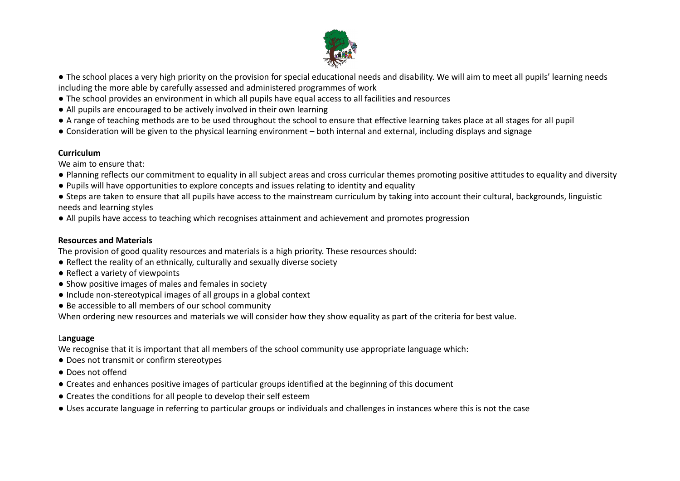

- The school places a very high priority on the provision for special educational needs and disability. We will aim to meet all pupils' learning needs including the more able by carefully assessed and administered programmes of work
- The school provides an environment in which all pupils have equal access to all facilities and resources
- All pupils are encouraged to be actively involved in their own learning
- A range of teaching methods are to be used throughout the school to ensure that effective learning takes place at all stages for all pupil
- Consideration will be given to the physical learning environment both internal and external, including displays and signage

### **Curriculum**

We aim to ensure that:

- Planning reflects our commitment to equality in all subject areas and cross curricular themes promoting positive attitudes to equality and diversity
- Pupils will have opportunities to explore concepts and issues relating to identity and equality
- Steps are taken to ensure that all pupils have access to the mainstream curriculum by taking into account their cultural, backgrounds, linguistic needs and learning styles
- All pupils have access to teaching which recognises attainment and achievement and promotes progression

### **Resources and Materials**

The provision of good quality resources and materials is a high priority. These resources should:

- Reflect the reality of an ethnically, culturally and sexually diverse society
- Reflect a variety of viewpoints
- Show positive images of males and females in society
- Include non-stereotypical images of all groups in a global context
- Be accessible to all members of our school community

When ordering new resources and materials we will consider how they show equality as part of the criteria for best value.

### L**anguage**

We recognise that it is important that all members of the school community use appropriate language which:

- Does not transmit or confirm stereotypes
- Does not offend
- Creates and enhances positive images of particular groups identified at the beginning of this document
- Creates the conditions for all people to develop their self esteem
- Uses accurate language in referring to particular groups or individuals and challenges in instances where this is not the case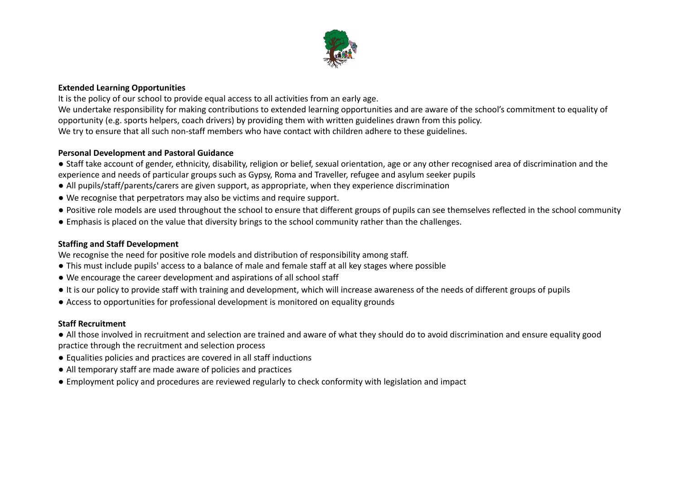

#### **Extended Learning Opportunities**

It is the policy of our school to provide equal access to all activities from an early age. We undertake responsibility for making contributions to extended learning opportunities and are aware of the school's commitment to equality of opportunity (e.g. sports helpers, coach drivers) by providing them with written guidelines drawn from this policy. We try to ensure that all such non-staff members who have contact with children adhere to these guidelines.

#### **Personal Development and Pastoral Guidance**

- Staff take account of gender, ethnicity, disability, religion or belief, sexual orientation, age or any other recognised area of discrimination and the experience and needs of particular groups such as Gypsy, Roma and Traveller, refugee and asylum seeker pupils
- All pupils/staff/parents/carers are given support, as appropriate, when they experience discrimination
- We recognise that perpetrators may also be victims and require support.
- Positive role models are used throughout the school to ensure that different groups of pupils can see themselves reflected in the school community
- Emphasis is placed on the value that diversity brings to the school community rather than the challenges.

#### **Staffing and Staff Development**

We recognise the need for positive role models and distribution of responsibility among staff.

- This must include pupils' access to a balance of male and female staff at all key stages where possible
- We encourage the career development and aspirations of all school staff
- It is our policy to provide staff with training and development, which will increase awareness of the needs of different groups of pupils
- Access to opportunities for professional development is monitored on equality grounds

#### **Staff Recruitment**

● All those involved in recruitment and selection are trained and aware of what they should do to avoid discrimination and ensure equality good practice through the recruitment and selection process

- Equalities policies and practices are covered in all staff inductions
- All temporary staff are made aware of policies and practices
- Employment policy and procedures are reviewed regularly to check conformity with legislation and impact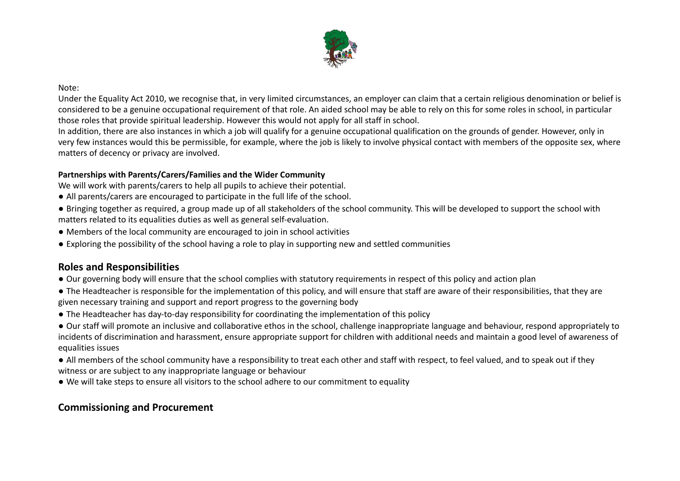

#### Note:

Under the Equality Act 2010, we recognise that, in very limited circumstances, an employer can claim that a certain religious denomination or belief is considered to be a genuine occupational requirement of that role. An aided school may be able to rely on this for some roles in school, in particular those roles that provide spiritual leadership. However this would not apply for all staff in school.

In addition, there are also instances in which a job will qualify for a genuine occupational qualification on the grounds of gender. However, only in very few instances would this be permissible, for example, where the job is likely to involve physical contact with members of the opposite sex, where matters of decency or privacy are involved.

#### **Partnerships with Parents/Carers/Families and the Wider Community**

We will work with parents/carers to help all pupils to achieve their potential.

- All parents/carers are encouraged to participate in the full life of the school.
- Bringing together as required, a group made up of all stakeholders of the school community. This will be developed to support the school with matters related to its equalities duties as well as general self-evaluation.
- Members of the local community are encouraged to join in school activities
- Exploring the possibility of the school having a role to play in supporting new and settled communities

### **Roles and Responsibilities**

- Our governing body will ensure that the school complies with statutory requirements in respect of this policy and action plan
- The Headteacher is responsible for the implementation of this policy, and will ensure that staff are aware of their responsibilities, that they are given necessary training and support and report progress to the governing body
- The Headteacher has day-to-day responsibility for coordinating the implementation of this policy

● Our staff will promote an inclusive and collaborative ethos in the school, challenge inappropriate language and behaviour, respond appropriately to incidents of discrimination and harassment, ensure appropriate support for children with additional needs and maintain a good level of awareness of equalities issues

● All members of the school community have a responsibility to treat each other and staff with respect, to feel valued, and to speak out if they witness or are subject to any inappropriate language or behaviour

● We will take steps to ensure all visitors to the school adhere to our commitment to equality

## **Commissioning and Procurement**